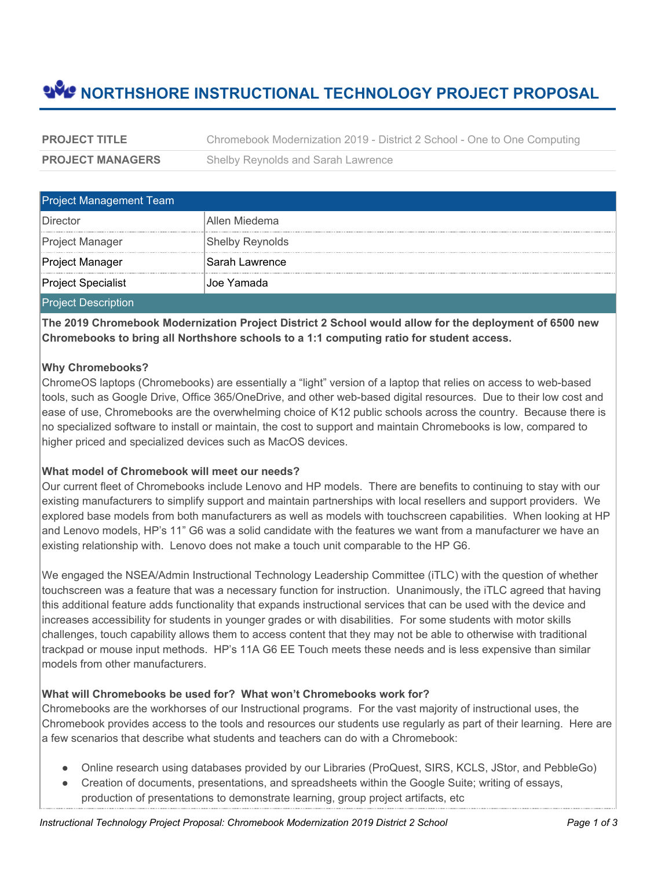# **NORTHSHORE INSTRUCTIONAL TECHNOLOGY PROJECT PROPOSAL**

| <b>PROJECT TITLE</b>    | Chromebook Modernization 2019 - District 2 School - One to One Computing |
|-------------------------|--------------------------------------------------------------------------|
| <b>PROJECT MANAGERS</b> | Shelby Reynolds and Sarah Lawrence                                       |

| <b>Project Management Team</b> |                        |  |
|--------------------------------|------------------------|--|
| ∣Director                      | Allen Miedema          |  |
| Project Manager                | <b>Shelby Reynolds</b> |  |
| Project Manager                | ⊦Sarah Lawrence        |  |
| 'Project Specialist            | Joe Yamada             |  |
| l mas to see most catality as  |                        |  |

Project Description

**The 2019 Chromebook Modernization Project District 2 School would allow for the deployment of 6500 new Chromebooks to bring all Northshore schools to a 1:1 computing ratio for student access.**

#### **Why Chromebooks?**

ChromeOS laptops (Chromebooks) are essentially a "light" version of a laptop that relies on access to web-based tools, such as Google Drive, Office 365/OneDrive, and other web-based digital resources. Due to their low cost and ease of use, Chromebooks are the overwhelming choice of K12 public schools across the country. Because there is no specialized software to install or maintain, the cost to support and maintain Chromebooks is low, compared to higher priced and specialized devices such as MacOS devices.

#### **What model of Chromebook will meet our needs?**

Our current fleet of Chromebooks include Lenovo and HP models. There are benefits to continuing to stay with our existing manufacturers to simplify support and maintain partnerships with local resellers and support providers. We explored base models from both manufacturers as well as models with touchscreen capabilities. When looking at HP and Lenovo models, HP's 11" G6 was a solid candidate with the features we want from a manufacturer we have an existing relationship with. Lenovo does not make a touch unit comparable to the HP G6.

We engaged the NSEA/Admin Instructional Technology Leadership Committee (iTLC) with the question of whether touchscreen was a feature that was a necessary function for instruction. Unanimously, the iTLC agreed that having this additional feature adds functionality that expands instructional services that can be used with the device and increases accessibility for students in younger grades or with disabilities. For some students with motor skills challenges, touch capability allows them to access content that they may not be able to otherwise with traditional trackpad or mouse input methods. HP's 11A G6 EE Touch meets these needs and is less expensive than similar models from other manufacturers.

#### **What will Chromebooks be used for? What won't Chromebooks work for?**

Chromebooks are the workhorses of our Instructional programs. For the vast majority of instructional uses, the Chromebook provides access to the tools and resources our students use regularly as part of their learning. Here are a few scenarios that describe what students and teachers can do with a Chromebook:

- Online research using databases provided by our Libraries (ProQuest, SIRS, KCLS, JStor, and PebbleGo)
- Creation of documents, presentations, and spreadsheets within the Google Suite; writing of essays, production of presentations to demonstrate learning, group project artifacts, etc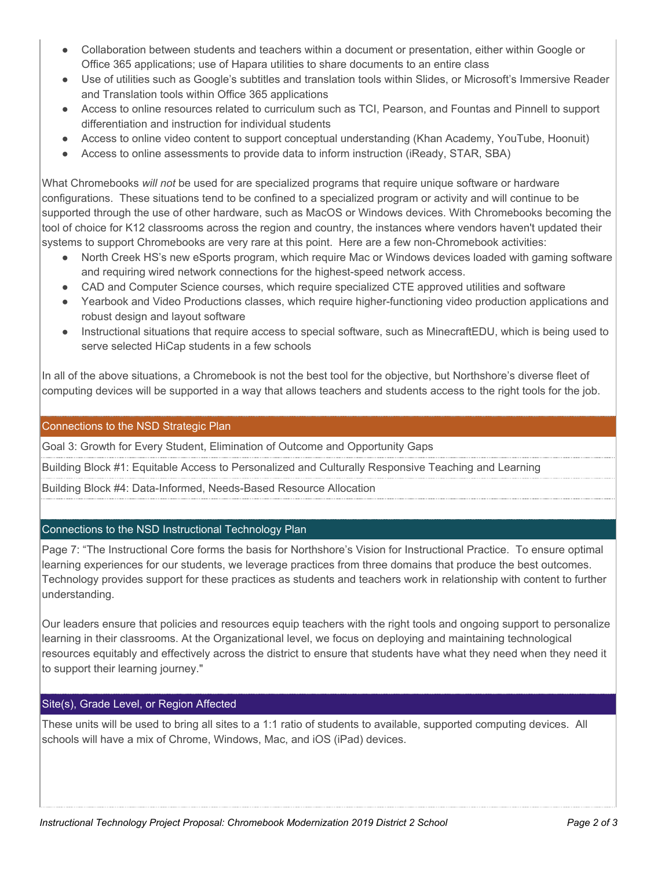- Collaboration between students and teachers within a document or presentation, either within Google or Office 365 applications; use of Hapara utilities to share documents to an entire class
- Use of utilities such as Google's subtitles and translation tools within Slides, or Microsoft's Immersive Reader and Translation tools within Office 365 applications
- Access to online resources related to curriculum such as TCI, Pearson, and Fountas and Pinnell to support differentiation and instruction for individual students
- Access to online video content to support conceptual understanding (Khan Academy, YouTube, Hoonuit)
- Access to online assessments to provide data to inform instruction (iReady, STAR, SBA)

What Chromebooks *will not* be used for are specialized programs that require unique software or hardware configurations. These situations tend to be confined to a specialized program or activity and will continue to be supported through the use of other hardware, such as MacOS or Windows devices. With Chromebooks becoming the tool of choice for K12 classrooms across the region and country, the instances where vendors haven't updated their systems to support Chromebooks are very rare at this point. Here are a few non-Chromebook activities:

- North Creek HS's new eSports program, which require Mac or Windows devices loaded with gaming software and requiring wired network connections for the highest-speed network access.
- CAD and Computer Science courses, which require specialized CTE approved utilities and software
- Yearbook and Video Productions classes, which require higher-functioning video production applications and robust design and layout software
- Instructional situations that require access to special software, such as MinecraftEDU, which is being used to serve selected HiCap students in a few schools

In all of the above situations, a Chromebook is not the best tool for the objective, but Northshore's diverse fleet of computing devices will be supported in a way that allows teachers and students access to the right tools for the job.

#### Connections to the NSD Strategic Plan

Goal 3: Growth for Every Student, Elimination of Outcome and Opportunity Gaps

Building Block #1: Equitable Access to Personalized and Culturally Responsive Teaching and Learning

Building Block #4: Data-Informed, Needs-Based Resource Allocation

#### Connections to the NSD Instructional Technology Plan

Page 7: "The Instructional Core forms the basis for Northshore's Vision for Instructional Practice. To ensure optimal learning experiences for our students, we leverage practices from three domains that produce the best outcomes. Technology provides support for these practices as students and teachers work in relationship with content to further understanding.

Our leaders ensure that policies and resources equip teachers with the right tools and ongoing support to personalize learning in their classrooms. At the Organizational level, we focus on deploying and maintaining technological resources equitably and effectively across the district to ensure that students have what they need when they need it to support their learning journey."

#### Site(s), Grade Level, or Region Affected

These units will be used to bring all sites to a 1:1 ratio of students to available, supported computing devices. All schools will have a mix of Chrome, Windows, Mac, and iOS (iPad) devices.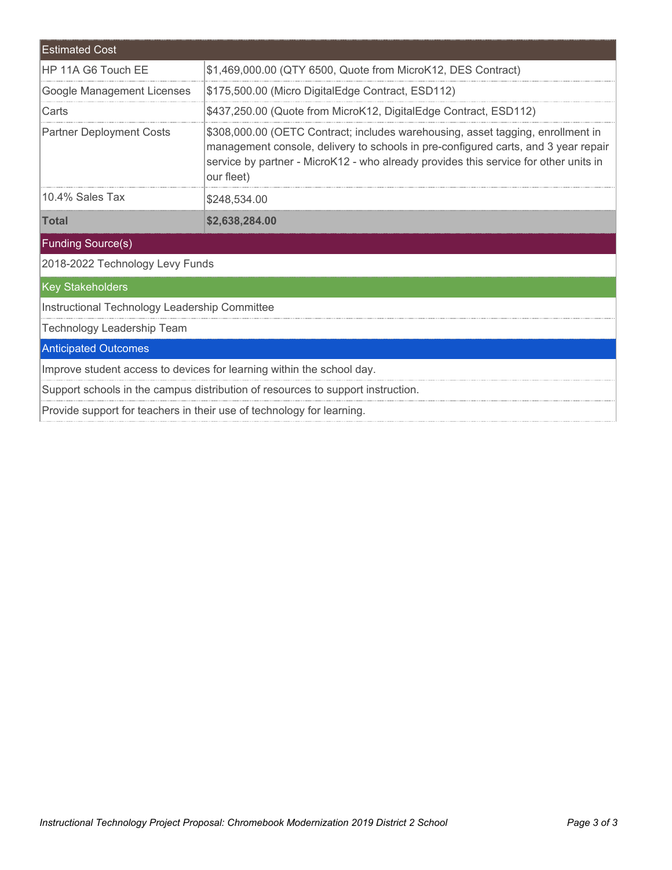| <b>Estimated Cost</b>                                                           |                                                                                                                                                                                                                                                                             |  |  |  |
|---------------------------------------------------------------------------------|-----------------------------------------------------------------------------------------------------------------------------------------------------------------------------------------------------------------------------------------------------------------------------|--|--|--|
| HP 11A G6 Touch FF                                                              | \$1,469,000.00 (QTY 6500, Quote from MicroK12, DES Contract)                                                                                                                                                                                                                |  |  |  |
| Google Management Licenses                                                      | \$175,500.00 (Micro DigitalEdge Contract, ESD112)                                                                                                                                                                                                                           |  |  |  |
| Carts                                                                           | \$437,250.00 (Quote from MicroK12, DigitalEdge Contract, ESD112)                                                                                                                                                                                                            |  |  |  |
| <b>Partner Deployment Costs</b>                                                 | \$308,000.00 (OETC Contract; includes warehousing, asset tagging, enrollment in<br>management console, delivery to schools in pre-configured carts, and 3 year repair<br>service by partner - MicroK12 - who already provides this service for other units in<br>our fleet) |  |  |  |
| 10.4% Sales Tax                                                                 | \$248,534.00                                                                                                                                                                                                                                                                |  |  |  |
| <b>Total</b>                                                                    | \$2,638,284.00                                                                                                                                                                                                                                                              |  |  |  |
| <b>Funding Source(s)</b>                                                        |                                                                                                                                                                                                                                                                             |  |  |  |
| 2018-2022 Technology Levy Funds                                                 |                                                                                                                                                                                                                                                                             |  |  |  |
| <b>Key Stakeholders</b>                                                         |                                                                                                                                                                                                                                                                             |  |  |  |
| Instructional Technology Leadership Committee                                   |                                                                                                                                                                                                                                                                             |  |  |  |
| <b>Technology Leadership Team</b>                                               |                                                                                                                                                                                                                                                                             |  |  |  |
| <b>Anticipated Outcomes</b>                                                     |                                                                                                                                                                                                                                                                             |  |  |  |
| Improve student access to devices for learning within the school day.           |                                                                                                                                                                                                                                                                             |  |  |  |
| Support schools in the campus distribution of resources to support instruction. |                                                                                                                                                                                                                                                                             |  |  |  |
| Provide support for teachers in their use of technology for learning.           |                                                                                                                                                                                                                                                                             |  |  |  |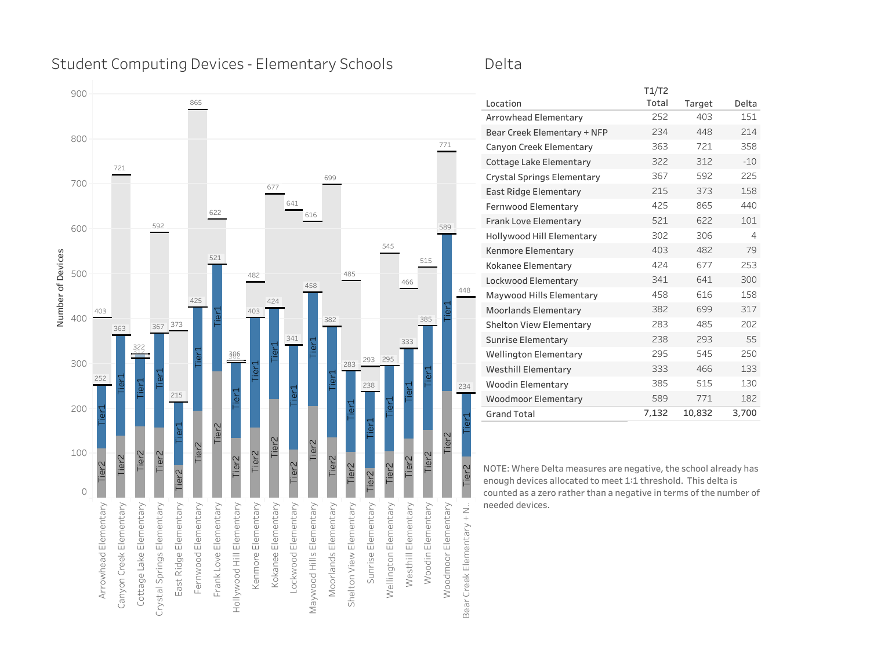### Student Computing Devices - Elementary Schools

### Delta



| Location                       | Total | Target | Delta |
|--------------------------------|-------|--------|-------|
| Arrowhead Elementary           | 252   | 403    | 151   |
| Bear Creek Elementary + NFP    | 234   | 448    | 214   |
| Canyon Creek Elementary        | 363   | 721    | 358   |
| Cottage Lake Elementary        | 322   | 312    | $-10$ |
| Crystal Springs Elementary     | 367   | 592    | 225   |
| <b>East Ridge Elementary</b>   | 215   | 373    | 158   |
| Fernwood Elementary            | 425   | 865    | 440   |
| Frank Love Elementary          | 521   | 622    | 101   |
| Hollywood Hill Elementary      | 302   | 306    | 4     |
| Kenmore Elementary             | 403   | 482    | 79    |
| Kokanee Elementary             | 424   | 677    | 253   |
| Lockwood Elementary            | 341   | 641    | 300   |
| Maywood Hills Elementary       | 458   | 616    | 158   |
| <b>Moorlands Elementary</b>    | 382   | 699    | 317   |
| <b>Shelton View Elementary</b> | 283   | 485    | 202   |
| <b>Sunrise Elementary</b>      | 238   | 293    | 55    |
| <b>Wellington Elementary</b>   | 295   | 545    | 250   |
| <b>Westhill Elementary</b>     | 333   | 466    | 133   |
| <b>Woodin Elementary</b>       | 385   | 515    | 130   |
| <b>Woodmoor Elementary</b>     | 589   | 771    | 182   |
| <b>Grand Total</b>             | 7,132 | 10,832 | 3,700 |

T1/T2

**NOTE: Where Delta measures are negative, the school already has enough devices allocated to meet 1:1 threshold. This delta is counted as a zero rather than a negative in terms of the number of**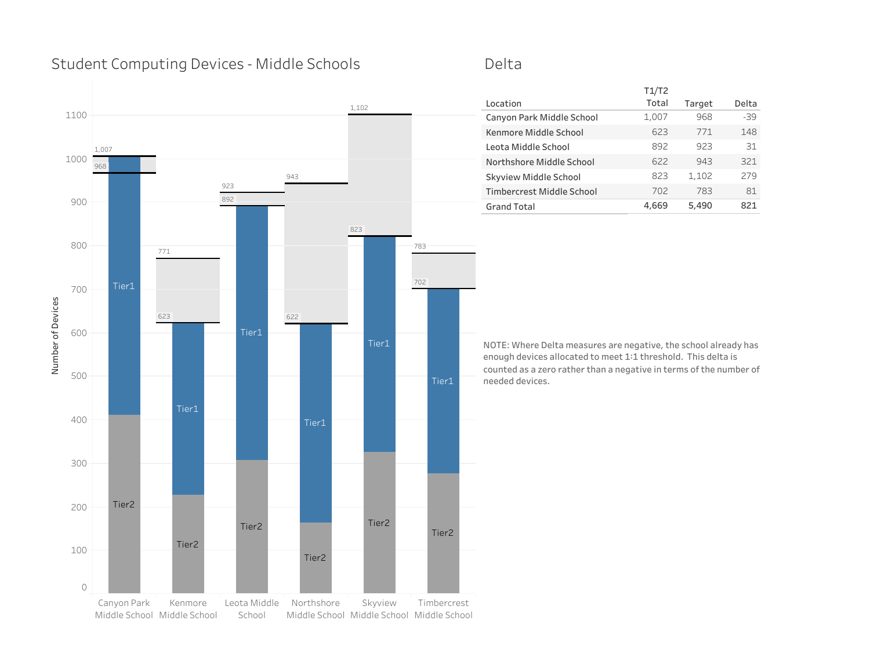# Student Computing Devices - Middle Schools



### Delta

|                           | T1/T2 |        |       |
|---------------------------|-------|--------|-------|
| Location                  | Total | Target | Delta |
| Canyon Park Middle School | 1,007 | 968    | $-39$ |
| Kenmore Middle School     | 623   | 771    | 148   |
| Leota Middle School       | 892   | 923    | 31    |
| Northshore Middle School  | 622   | 943    | 321   |
| Skyview Middle School     | 823   | 1,102  | 279   |
| Timbercrest Middle School | 702   | 783    | 81    |
| <b>Grand Total</b>        | 4,669 | 5,490  | 821   |
|                           |       |        |       |

**NOTE: Where Delta measures are negative, the school already has enough devices allocated to meet 1:1 threshold. This delta is counted as a zero rather than a negative in terms of the number of needed devices.**